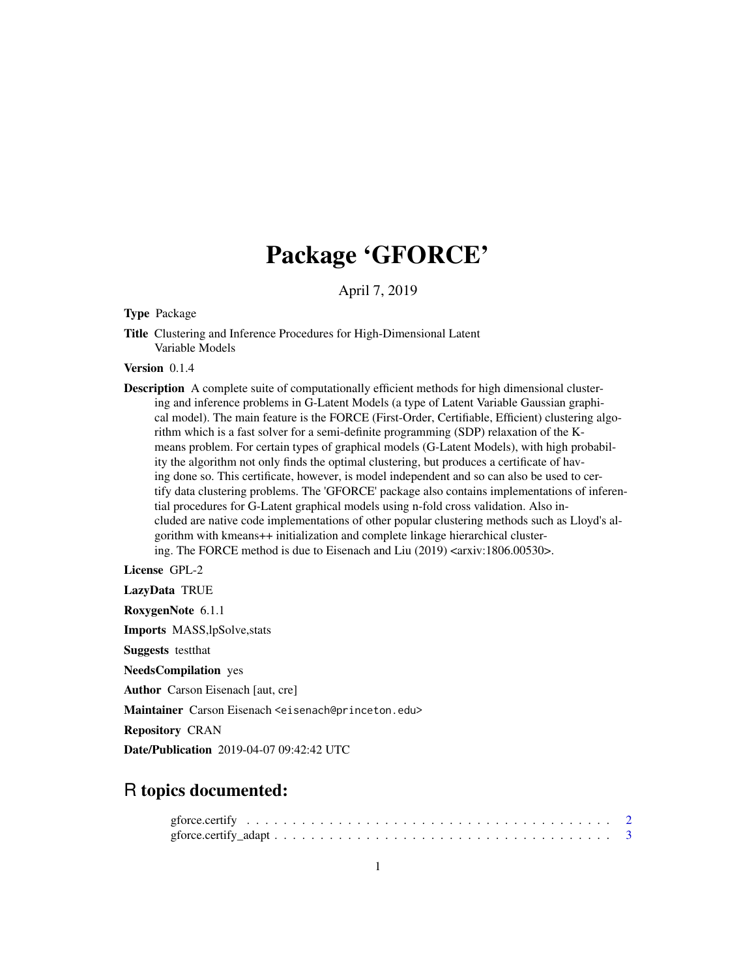# Package 'GFORCE'

April 7, 2019

Type Package

Title Clustering and Inference Procedures for High-Dimensional Latent Variable Models

Version 0.1.4

Description A complete suite of computationally efficient methods for high dimensional clustering and inference problems in G-Latent Models (a type of Latent Variable Gaussian graphical model). The main feature is the FORCE (First-Order, Certifiable, Efficient) clustering algorithm which is a fast solver for a semi-definite programming (SDP) relaxation of the Kmeans problem. For certain types of graphical models (G-Latent Models), with high probability the algorithm not only finds the optimal clustering, but produces a certificate of having done so. This certificate, however, is model independent and so can also be used to certify data clustering problems. The 'GFORCE' package also contains implementations of inferential procedures for G-Latent graphical models using n-fold cross validation. Also included are native code implementations of other popular clustering methods such as Lloyd's algorithm with kmeans++ initialization and complete linkage hierarchical clustering. The FORCE method is due to Eisenach and Liu (2019) <arxiv:1806.00530>.

License GPL-2

LazyData TRUE RoxygenNote 6.1.1 Imports MASS,lpSolve,stats Suggests testthat NeedsCompilation yes Author Carson Eisenach [aut, cre]

Maintainer Carson Eisenach <eisenach@princeton.edu>

Repository CRAN

Date/Publication 2019-04-07 09:42:42 UTC

# R topics documented: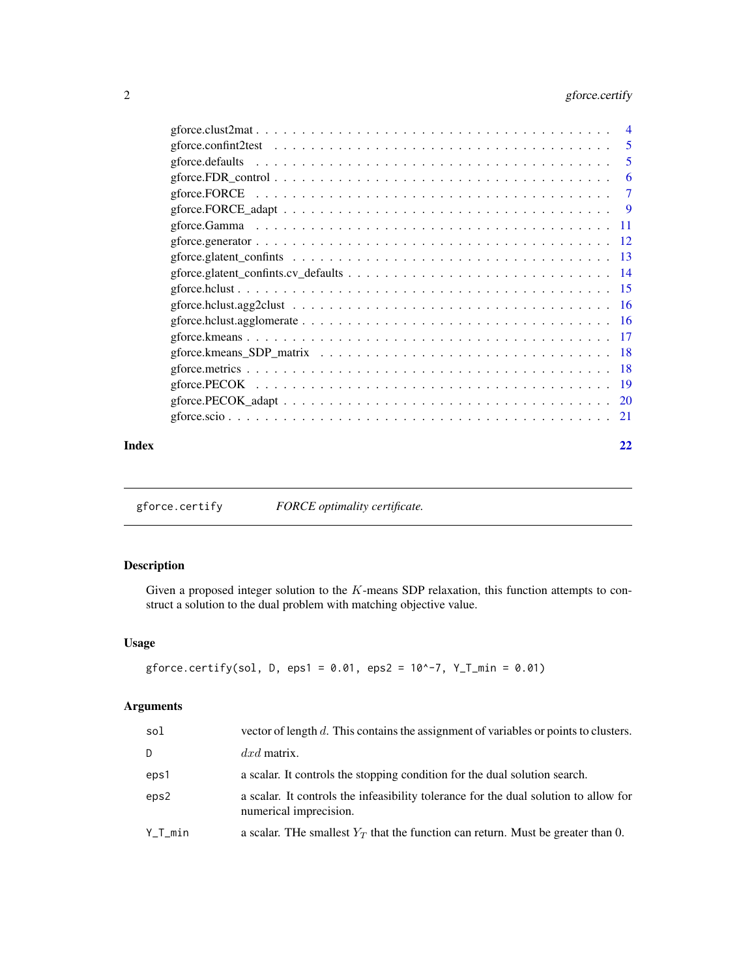# <span id="page-1-0"></span>2 gforce.certify

|       | 5              |
|-------|----------------|
|       | 6              |
|       | $\overline{7}$ |
|       |                |
|       |                |
|       |                |
|       |                |
|       |                |
|       |                |
|       |                |
|       |                |
|       |                |
|       |                |
|       |                |
|       |                |
|       |                |
|       |                |
| Index | 22             |

gforce.certify *FORCE optimality certificate.*

# Description

Given a proposed integer solution to the  $K$ -means SDP relaxation, this function attempts to construct a solution to the dual problem with matching objective value.

# Usage

```
gforce.certify(sol, D, eps1 = 0.01, eps2 = 10^{\circ}-7, Y_T_min = 0.01)
```
# Arguments

| sol     | vector of length d. This contains the assignment of variables or points to clusters.                           |
|---------|----------------------------------------------------------------------------------------------------------------|
| D       | $dx$ <i>d</i> matrix.                                                                                          |
| eps1    | a scalar. It controls the stopping condition for the dual solution search.                                     |
| eps2    | a scalar. It controls the infeasibility tolerance for the dual solution to allow for<br>numerical imprecision. |
| Y_T_min | a scalar. The smallest $Y_T$ that the function can return. Must be greater than 0.                             |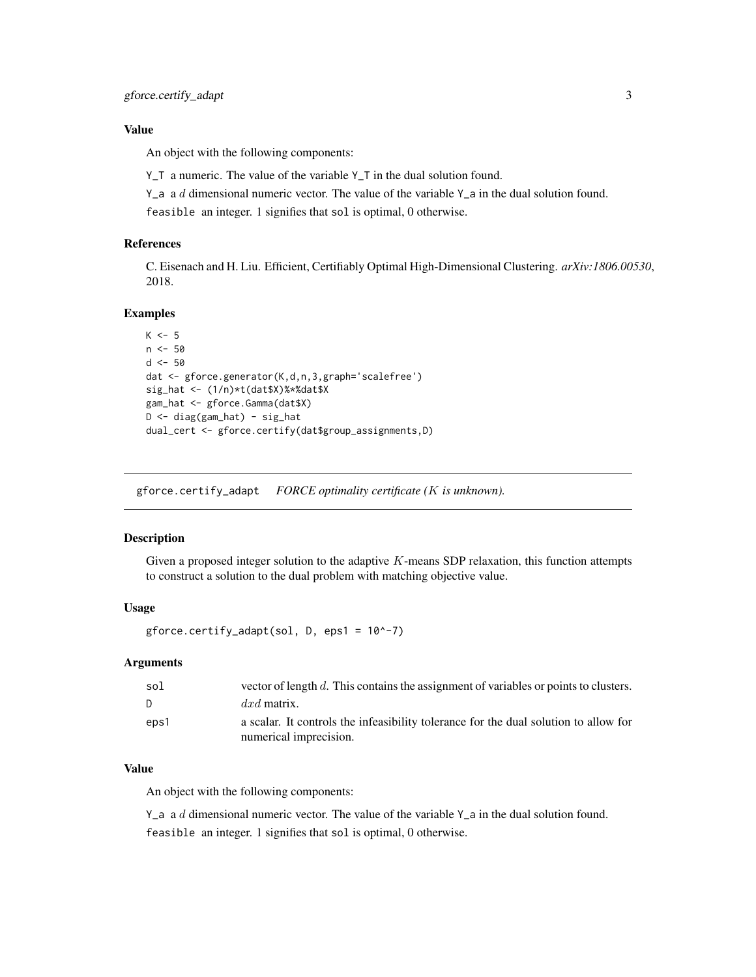# <span id="page-2-0"></span>Value

An object with the following components:

Y\_T a numeric. The value of the variable Y\_T in the dual solution found.

Y\_a a  $d$  dimensional numeric vector. The value of the variable Y\_a in the dual solution found.

feasible an integer. 1 signifies that sol is optimal, 0 otherwise.

# References

C. Eisenach and H. Liu. Efficient, Certifiably Optimal High-Dimensional Clustering. *arXiv:1806.00530*, 2018.

# Examples

```
K < -5n < -50d < -50dat <- gforce.generator(K,d,n,3,graph='scalefree')
sig_hat <- (1/n)*t(dat$X)%*%dat$X
gam_hat <- gforce.Gamma(dat$X)
D \leftarrow diag(gam\_hat) - sig\_hatdual_cert <- gforce.certify(dat$group_assignments,D)
```
gforce.certify\_adapt *FORCE optimality certificate (*K *is unknown).*

#### Description

Given a proposed integer solution to the adaptive  $K$ -means SDP relaxation, this function attempts to construct a solution to the dual problem with matching objective value.

# Usage

gforce.certify\_adapt(sol, D, eps1 = 10^-7)

#### Arguments

| sol  | vector of length d. This contains the assignment of variables or points to clusters.                           |
|------|----------------------------------------------------------------------------------------------------------------|
| D.   | $dx$ matrix.                                                                                                   |
| eps1 | a scalar. It controls the infeasibility tolerance for the dual solution to allow for<br>numerical imprecision. |

#### Value

An object with the following components:

Y\_a a  $d$  dimensional numeric vector. The value of the variable Y\_a in the dual solution found. feasible an integer. 1 signifies that sol is optimal, 0 otherwise.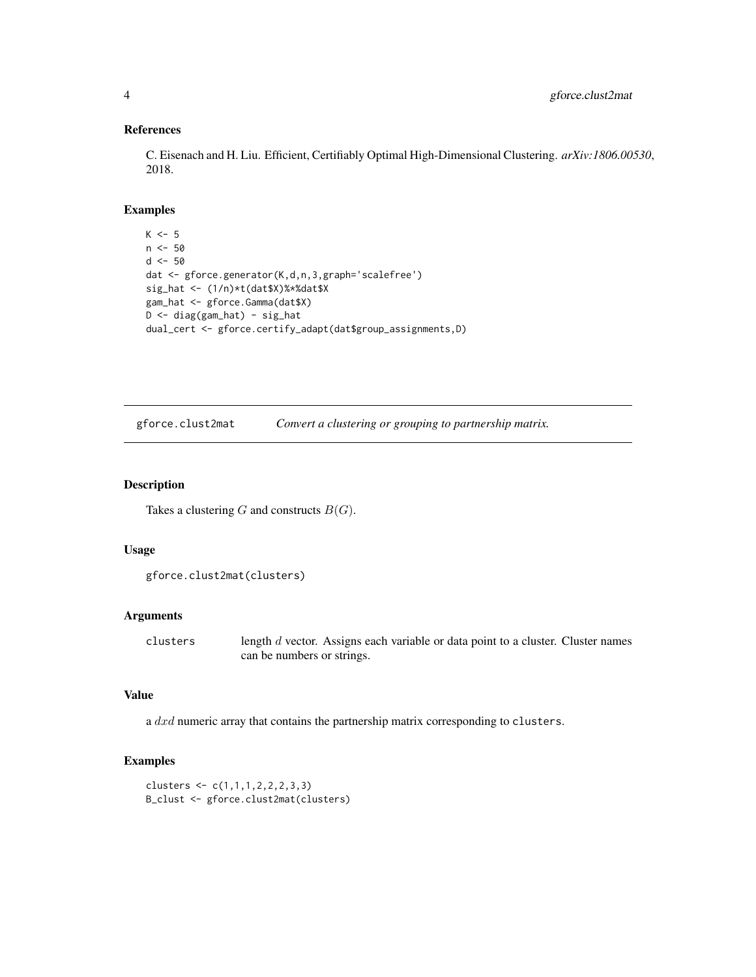# References

C. Eisenach and H. Liu. Efficient, Certifiably Optimal High-Dimensional Clustering. *arXiv:1806.00530*, 2018.

# Examples

```
K < -5n < -50d \le -50dat <- gforce.generator(K,d,n,3,graph='scalefree')
sig_hat <- (1/n)*t(dat$X)%*%dat$X
gam_hat <- gforce.Gamma(dat$X)
D <- diag(gam_hat) - sig_hat
dual_cert <- gforce.certify_adapt(dat$group_assignments,D)
```
gforce.clust2mat *Convert a clustering or grouping to partnership matrix.*

#### Description

Takes a clustering  $G$  and constructs  $B(G)$ .

### Usage

```
gforce.clust2mat(clusters)
```
#### Arguments

clusters length d vector. Assigns each variable or data point to a cluster. Cluster names can be numbers or strings.

# Value

a dxd numeric array that contains the partnership matrix corresponding to clusters.

```
clusters <- c(1,1,1,2,2,2,3,3)
B_clust <- gforce.clust2mat(clusters)
```
<span id="page-3-0"></span>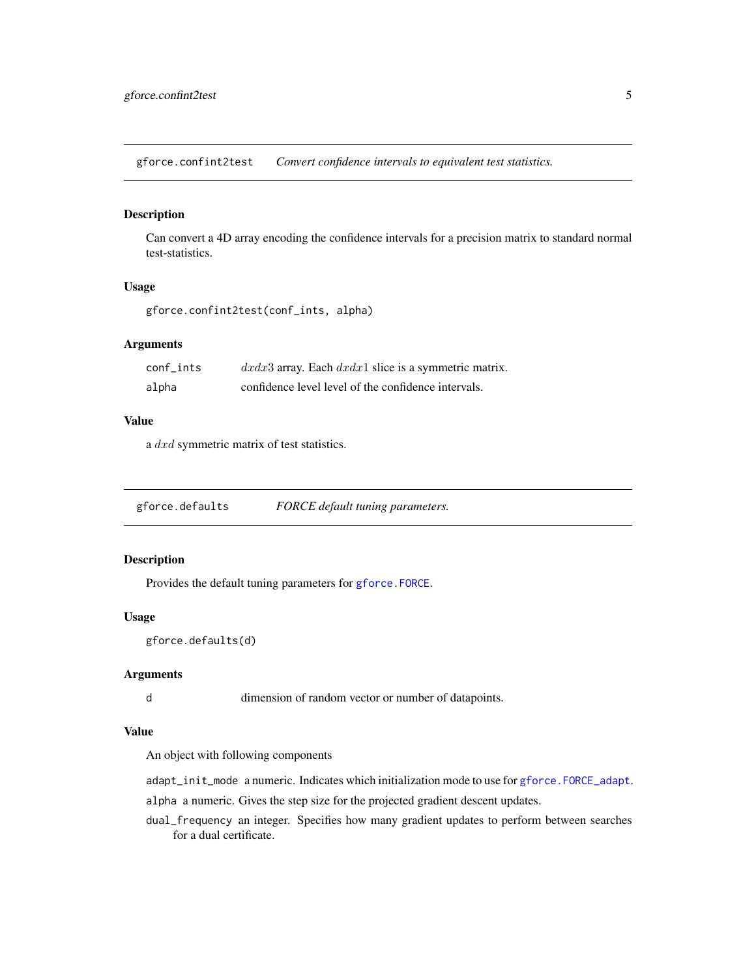<span id="page-4-0"></span>gforce.confint2test *Convert confidence intervals to equivalent test statistics.*

#### Description

Can convert a 4D array encoding the confidence intervals for a precision matrix to standard normal test-statistics.

#### Usage

```
gforce.confint2test(conf_ints, alpha)
```
#### Arguments

| conf ints | $dxdx3$ array. Each $dxdx1$ slice is a symmetric matrix. |
|-----------|----------------------------------------------------------|
| alpha     | confidence level level of the confidence intervals.      |

# Value

a dxd symmetric matrix of test statistics.

<span id="page-4-1"></span>gforce.defaults *FORCE default tuning parameters.*

#### Description

Provides the default tuning parameters for [gforce.FORCE](#page-6-1).

# Usage

```
gforce.defaults(d)
```
#### Arguments

d dimension of random vector or number of datapoints.

#### Value

An object with following components

adapt\_init\_mode a numeric. Indicates which initialization mode to use for [gforce.FORCE\\_adapt](#page-8-1).

alpha a numeric. Gives the step size for the projected gradient descent updates.

dual\_frequency an integer. Specifies how many gradient updates to perform between searches for a dual certificate.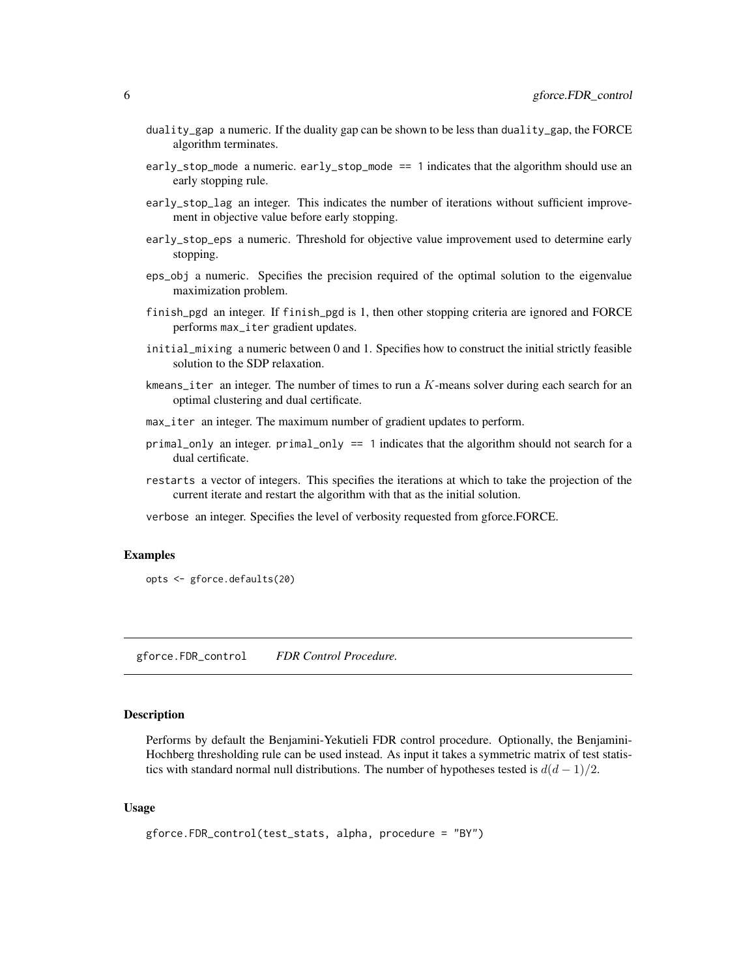- <span id="page-5-0"></span>duality\_gap a numeric. If the duality gap can be shown to be less than duality\_gap, the FORCE algorithm terminates.
- early\_stop\_mode a numeric. early\_stop\_mode == 1 indicates that the algorithm should use an early stopping rule.
- early\_stop\_lag an integer. This indicates the number of iterations without sufficient improvement in objective value before early stopping.
- early\_stop\_eps a numeric. Threshold for objective value improvement used to determine early stopping.
- eps\_obj a numeric. Specifies the precision required of the optimal solution to the eigenvalue maximization problem.
- finish\_pgd an integer. If finish\_pgd is 1, then other stopping criteria are ignored and FORCE performs max\_iter gradient updates.
- initial\_mixing a numeric between 0 and 1. Specifies how to construct the initial strictly feasible solution to the SDP relaxation.
- kmeans\_iter an integer. The number of times to run a  $K$ -means solver during each search for an optimal clustering and dual certificate.
- max\_iter an integer. The maximum number of gradient updates to perform.
- primal\_only an integer. primal\_only == 1 indicates that the algorithm should not search for a dual certificate.
- restarts a vector of integers. This specifies the iterations at which to take the projection of the current iterate and restart the algorithm with that as the initial solution.
- verbose an integer. Specifies the level of verbosity requested from gforce.FORCE.

#### Examples

```
opts <- gforce.defaults(20)
```
gforce.FDR\_control *FDR Control Procedure.*

#### **Description**

Performs by default the Benjamini-Yekutieli FDR control procedure. Optionally, the Benjamini-Hochberg thresholding rule can be used instead. As input it takes a symmetric matrix of test statistics with standard normal null distributions. The number of hypotheses tested is  $d(d-1)/2$ .

### Usage

```
gforce.FDR_control(test_stats, alpha, procedure = "BY")
```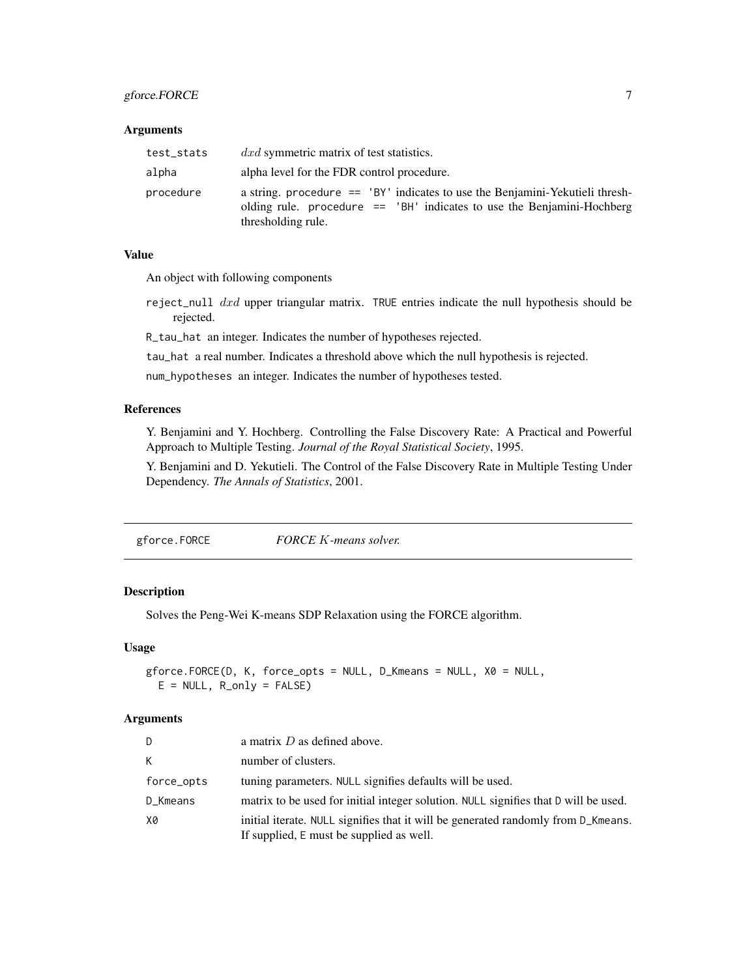# <span id="page-6-0"></span>gforce.FORCE 7

#### Arguments

| test_stats | $dx\,$ d symmetric matrix of test statistics.                                                                                                                                    |
|------------|----------------------------------------------------------------------------------------------------------------------------------------------------------------------------------|
| alpha      | alpha level for the FDR control procedure.                                                                                                                                       |
| procedure  | a string. procedure $==$ 'BY' indicates to use the Benjamini-Yekutieli thresh-<br>olding rule. procedure $==$ 'BH' indicates to use the Benjamini-Hochberg<br>thresholding rule. |

# Value

An object with following components

- reject\_null  $dx$ d upper triangular matrix. TRUE entries indicate the null hypothesis should be rejected.
- R\_tau\_hat an integer. Indicates the number of hypotheses rejected.

tau\_hat a real number. Indicates a threshold above which the null hypothesis is rejected.

num\_hypotheses an integer. Indicates the number of hypotheses tested.

#### References

Y. Benjamini and Y. Hochberg. Controlling the False Discovery Rate: A Practical and Powerful Approach to Multiple Testing. *Journal of the Royal Statistical Society*, 1995.

Y. Benjamini and D. Yekutieli. The Control of the False Discovery Rate in Multiple Testing Under Dependency. *The Annals of Statistics*, 2001.

<span id="page-6-1"></span>gforce.FORCE *FORCE* K*-means solver.*

# Description

Solves the Peng-Wei K-means SDP Relaxation using the FORCE algorithm.

#### Usage

```
gforce.FORCE(D, K, force_opts = NULL, D_Kmeans = NULL, X0 = NULL,
 E = NULL, R_\text{only} = FALSE)
```
#### Arguments

| D.         | a matrix $D$ as defined above.                                                                                                |
|------------|-------------------------------------------------------------------------------------------------------------------------------|
| K          | number of clusters.                                                                                                           |
| force_opts | tuning parameters. NULL signifies defaults will be used.                                                                      |
| D_Kmeans   | matrix to be used for initial integer solution. NULL signifies that D will be used.                                           |
| Х0         | initial iterate. NULL signifies that it will be generated randomly from D_Kmeans.<br>If supplied, E must be supplied as well. |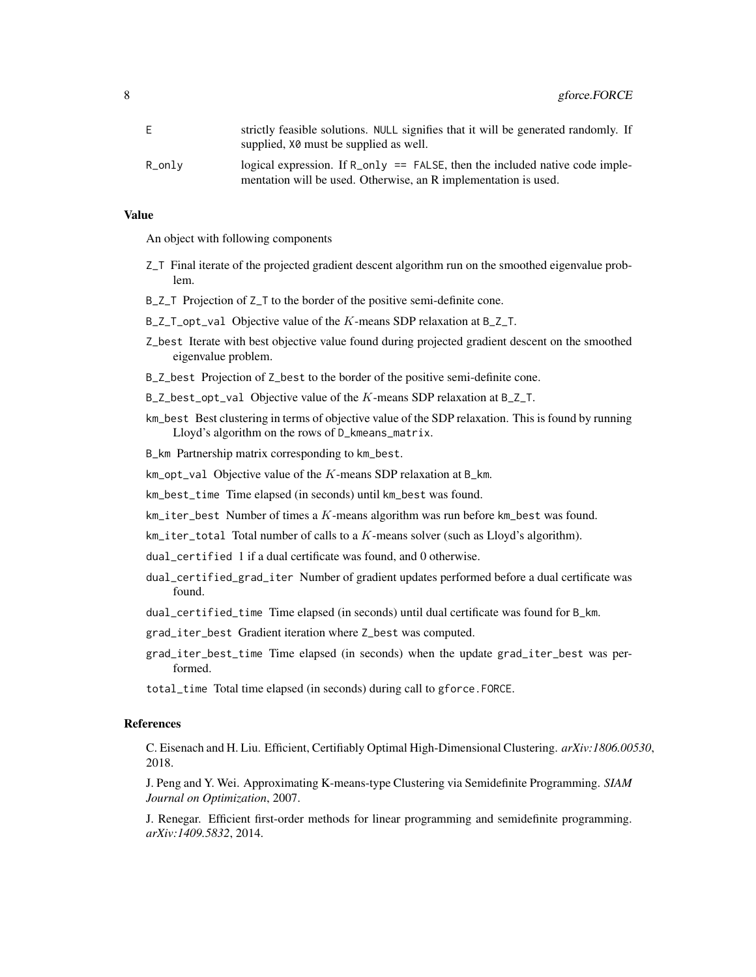|        | strictly feasible solutions. NULL signifies that it will be generated randomly. If<br>supplied, $X\&$ must be supplied as well.                 |
|--------|-------------------------------------------------------------------------------------------------------------------------------------------------|
| R_onlv | logical expression. If $R_{0}$ = FALSE, then the included native code imple-<br>mentation will be used. Otherwise, an R implementation is used. |

#### Value

An object with following components

- Z\_T Final iterate of the projected gradient descent algorithm run on the smoothed eigenvalue problem.
- B\_Z\_T Projection of Z\_T to the border of the positive semi-definite cone.
- $B_Z$ <sub>\_</sub>T\_opt\_val Objective value of the K-means SDP relaxation at  $B_Z$ <sub>\_</sub>T.
- Z\_best Iterate with best objective value found during projected gradient descent on the smoothed eigenvalue problem.
- B\_Z\_best Projection of Z\_best to the border of the positive semi-definite cone.
- $B_2$ best\_opt\_val Objective value of the K-means SDP relaxation at  $B_2$ T.
- km\_best Best clustering in terms of objective value of the SDP relaxation. This is found by running Lloyd's algorithm on the rows of D\_kmeans\_matrix.

B\_km Partnership matrix corresponding to km\_best.

 $km\_opt\_val$  Objective value of the  $K$ -means SDP relaxation at B\_km.

- km\_best\_time Time elapsed (in seconds) until km\_best was found.
- $km\_iter\_best$  Number of times a  $K$ -means algorithm was run before km $\_best$  was found.
- $km\_iter\_total$  Total number of calls to a  $K$ -means solver (such as Lloyd's algorithm).
- dual\_certified 1 if a dual certificate was found, and 0 otherwise.
- dual\_certified\_grad\_iter Number of gradient updates performed before a dual certificate was found.
- dual\_certified\_time Time elapsed (in seconds) until dual certificate was found for B\_km.
- grad\_iter\_best Gradient iteration where Z\_best was computed.
- grad\_iter\_best\_time Time elapsed (in seconds) when the update grad\_iter\_best was performed.
- total\_time Total time elapsed (in seconds) during call to gforce.FORCE.

#### References

C. Eisenach and H. Liu. Efficient, Certifiably Optimal High-Dimensional Clustering. *arXiv:1806.00530*, 2018.

J. Peng and Y. Wei. Approximating K-means-type Clustering via Semidefinite Programming. *SIAM Journal on Optimization*, 2007.

J. Renegar. Efficient first-order methods for linear programming and semidefinite programming. *arXiv:1409.5832*, 2014.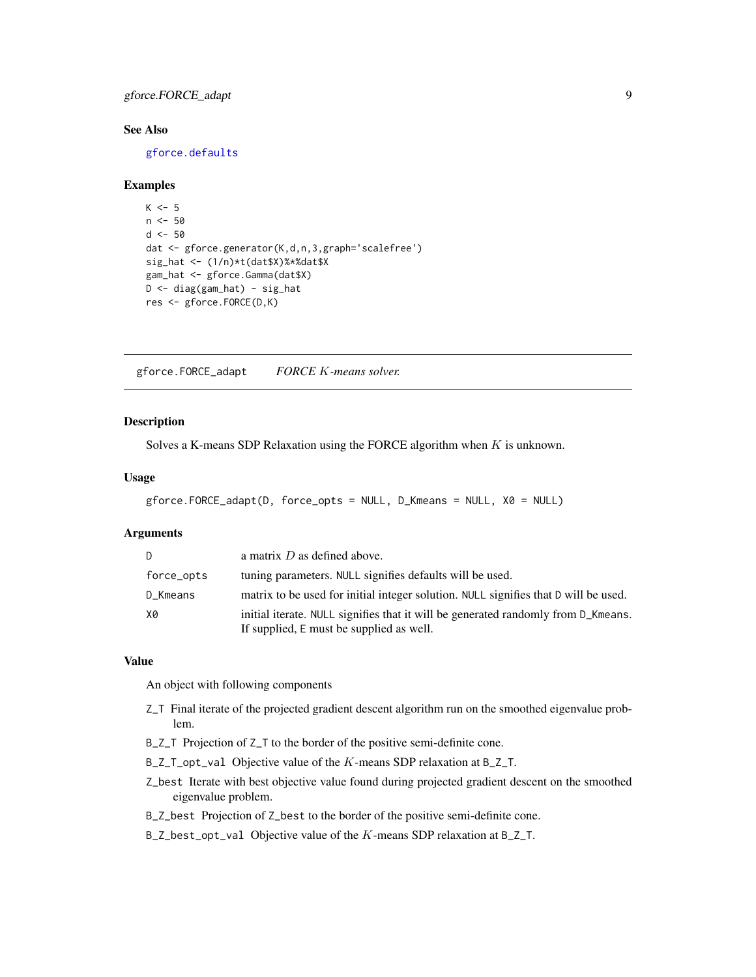# <span id="page-8-0"></span>gforce.FORCE\_adapt 9

# See Also

[gforce.defaults](#page-4-1)

#### Examples

```
K < -5n < -50d < -50dat <- gforce.generator(K,d,n,3,graph='scalefree')
sig_hat <- (1/n)*t(dat$X)%*%dat$X
gam_hat <- gforce.Gamma(dat$X)
D <- diag(gam_hat) - sig_hat
res <- gforce.FORCE(D,K)
```
<span id="page-8-1"></span>gforce.FORCE\_adapt *FORCE* K*-means solver.*

#### Description

Solves a K-means SDP Relaxation using the FORCE algorithm when  $K$  is unknown.

# Usage

```
gforce.FORCE_adapt(D, force_opts = NULL, D_Kmeans = NULL, X0 = NULL)
```
#### Arguments

| D          | a matrix $D$ as defined above.                                                                                                |
|------------|-------------------------------------------------------------------------------------------------------------------------------|
| force_opts | tuning parameters. NULL signifies defaults will be used.                                                                      |
| D_Kmeans   | matrix to be used for initial integer solution. NULL signifies that D will be used.                                           |
| X0         | initial iterate. NULL signifies that it will be generated randomly from D_Kmeans.<br>If supplied, E must be supplied as well. |

#### Value

An object with following components

- Z\_T Final iterate of the projected gradient descent algorithm run on the smoothed eigenvalue problem.
- B\_Z\_T Projection of Z\_T to the border of the positive semi-definite cone.
- $B_Z_I_p$  opt\_val Objective value of the K-means SDP relaxation at  $B_Z_I$ .
- Z\_best Iterate with best objective value found during projected gradient descent on the smoothed eigenvalue problem.
- B\_Z\_best Projection of Z\_best to the border of the positive semi-definite cone.
- B\_Z\_best\_opt\_val Objective value of the K-means SDP relaxation at B\_Z\_T.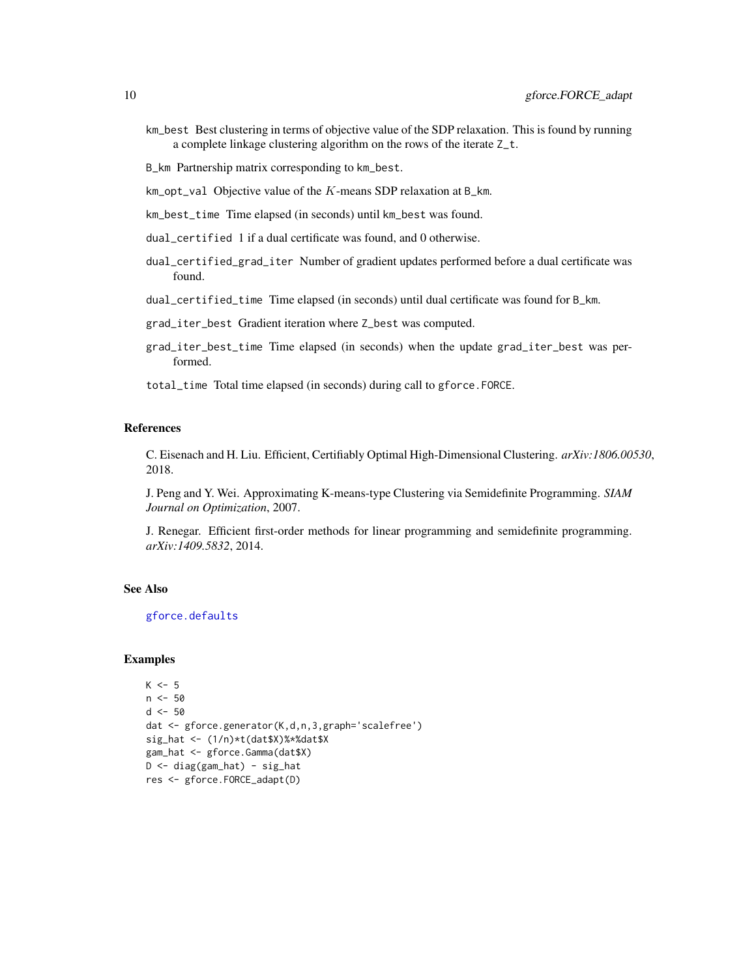<span id="page-9-0"></span>km\_best Best clustering in terms of objective value of the SDP relaxation. This is found by running a complete linkage clustering algorithm on the rows of the iterate Z\_t.

B\_km Partnership matrix corresponding to km\_best.

 $km\_opt\_val$  Objective value of the  $K$ -means SDP relaxation at B\_km.

km\_best\_time Time elapsed (in seconds) until km\_best was found.

dual\_certified 1 if a dual certificate was found, and 0 otherwise.

dual\_certified\_grad\_iter Number of gradient updates performed before a dual certificate was found.

dual\_certified\_time Time elapsed (in seconds) until dual certificate was found for B\_km.

grad\_iter\_best Gradient iteration where Z\_best was computed.

grad\_iter\_best\_time Time elapsed (in seconds) when the update grad\_iter\_best was performed.

total\_time Total time elapsed (in seconds) during call to gforce.FORCE.

# References

C. Eisenach and H. Liu. Efficient, Certifiably Optimal High-Dimensional Clustering. *arXiv:1806.00530*, 2018.

J. Peng and Y. Wei. Approximating K-means-type Clustering via Semidefinite Programming. *SIAM Journal on Optimization*, 2007.

J. Renegar. Efficient first-order methods for linear programming and semidefinite programming. *arXiv:1409.5832*, 2014.

#### See Also

[gforce.defaults](#page-4-1)

```
K < -5n <- 50
d < -50dat <- gforce.generator(K,d,n,3,graph='scalefree')
sig_hat \leftarrow (1/n) * t(data$X)%*%dat$X
gam_hat <- gforce.Gamma(dat$X)
D <- diag(gam_hat) - sig_hat
res <- gforce.FORCE_adapt(D)
```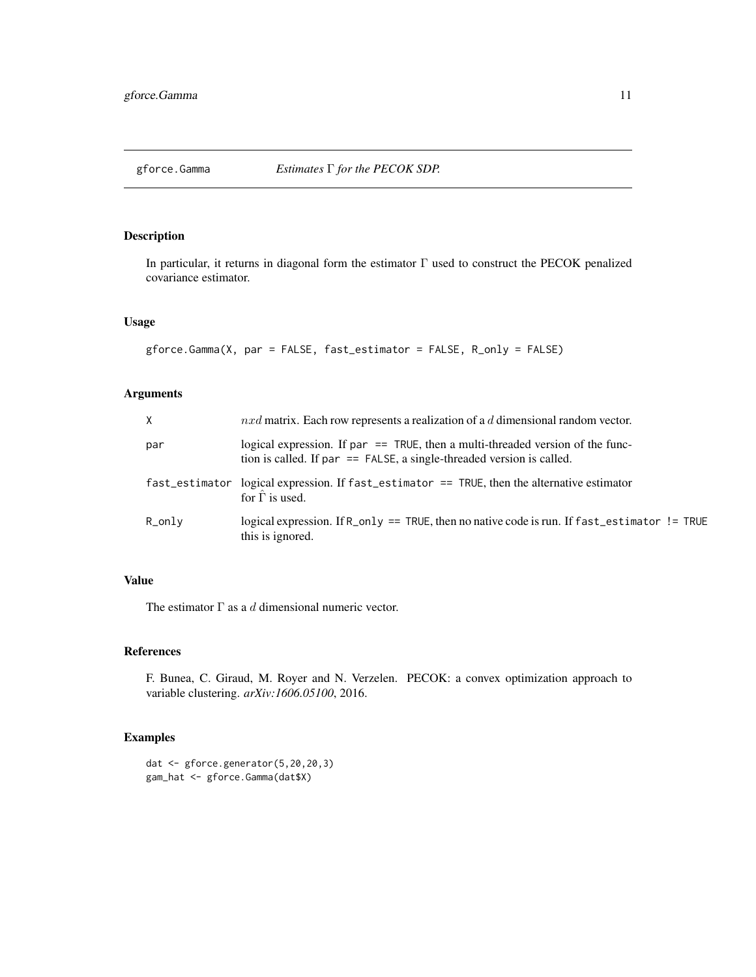<span id="page-10-0"></span>

In particular, it returns in diagonal form the estimator Γ used to construct the PECOK penalized covariance estimator.

# Usage

```
gforce.Gamma(X, par = FALSE, fast_estimator = FALSE, R_only = FALSE)
```
# Arguments

| X              | $nxd$ matrix. Each row represents a realization of a d dimensional random vector.                                                                           |
|----------------|-------------------------------------------------------------------------------------------------------------------------------------------------------------|
| par            | logical expression. If par $==$ TRUE, then a multi-threaded version of the func-<br>tion is called. If par $==$ FALSE, a single-threaded version is called. |
| fast_estimator | logical expression. If $fast\_estimator == TRUE$ , then the alternative estimator<br>for $\Gamma$ is used.                                                  |
| R_only         | logical expression. If R_only == TRUE, then no native code is run. If fast_estimator != TRUE<br>this is ignored.                                            |

# Value

The estimator  $\Gamma$  as a d dimensional numeric vector.

# References

F. Bunea, C. Giraud, M. Royer and N. Verzelen. PECOK: a convex optimization approach to variable clustering. *arXiv:1606.05100*, 2016.

```
dat <- gforce.generator(5,20,20,3)
gam_hat <- gforce.Gamma(dat$X)
```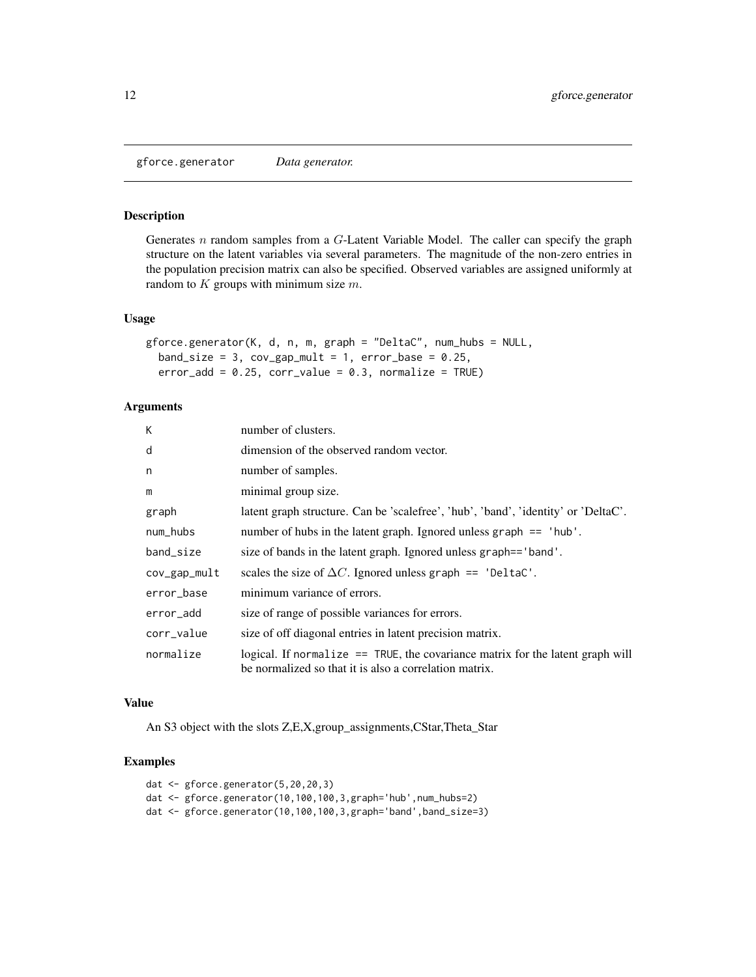<span id="page-11-0"></span>gforce.generator *Data generator.*

# Description

Generates n random samples from a G-Latent Variable Model. The caller can specify the graph structure on the latent variables via several parameters. The magnitude of the non-zero entries in the population precision matrix can also be specified. Observed variables are assigned uniformly at random to  $K$  groups with minimum size  $m$ .

#### Usage

```
gforce.generator(K, d, n, m, graph = "DeltaC", num_hubs = NULL,
  band_size = 3, cov\_gap\_mult = 1, error\_base = 0.25,
  error\_add = 0.25, corr\_value = 0.3, normalize = TRUE)
```
# Arguments

| K            | number of clusters.                                                                                                                        |
|--------------|--------------------------------------------------------------------------------------------------------------------------------------------|
| d            | dimension of the observed random vector.                                                                                                   |
| n            | number of samples.                                                                                                                         |
| m            | minimal group size.                                                                                                                        |
| graph        | latent graph structure. Can be 'scalefree', 'hub', 'band', 'identity' or 'DeltaC'.                                                         |
| num_hubs     | number of hubs in the latent graph. Ignored unless graph $==$ 'hub'.                                                                       |
| band_size    | size of bands in the latent graph. Ignored unless graph== 'band'.                                                                          |
| cov_gap_mult | scales the size of $\Delta C$ . Ignored unless graph == 'DeltaC'.                                                                          |
| error_base   | minimum variance of errors.                                                                                                                |
| error_add    | size of range of possible variances for errors.                                                                                            |
| corr_value   | size of off diagonal entries in latent precision matrix.                                                                                   |
| normalize    | logical. If normalize $==$ TRUE, the covariance matrix for the latent graph will<br>be normalized so that it is also a correlation matrix. |

#### Value

An S3 object with the slots Z,E,X,group\_assignments,CStar,Theta\_Star

```
dat <- gforce.generator(5,20,20,3)
dat <- gforce.generator(10,100,100,3,graph='hub',num_hubs=2)
dat <- gforce.generator(10,100,100,3,graph='band',band_size=3)
```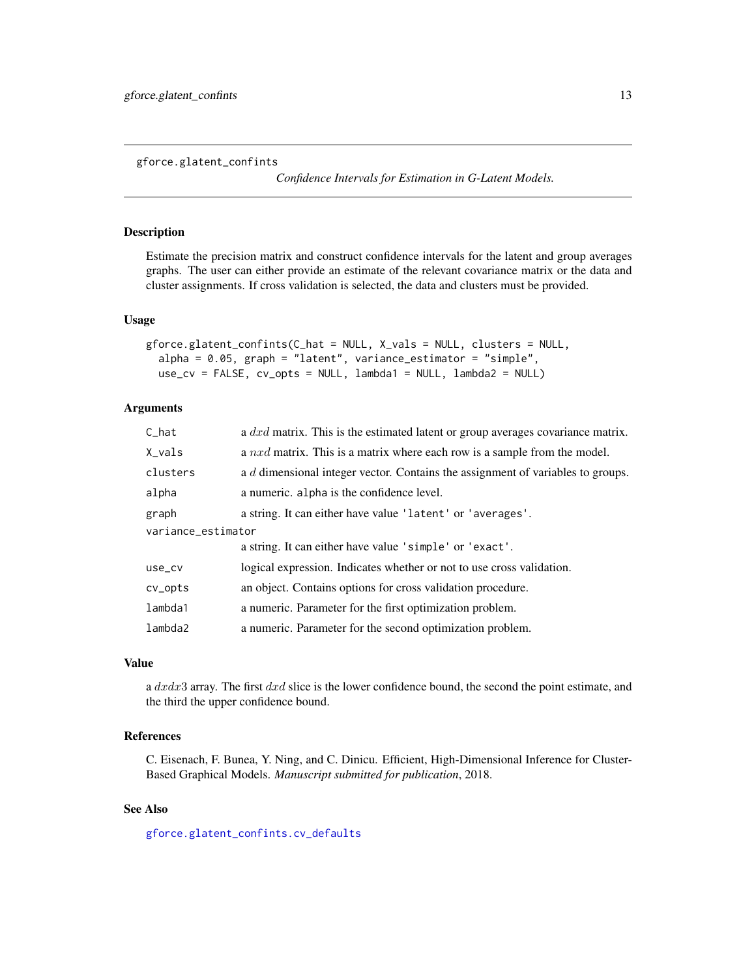<span id="page-12-1"></span><span id="page-12-0"></span>gforce.glatent\_confints

*Confidence Intervals for Estimation in G-Latent Models.*

# Description

Estimate the precision matrix and construct confidence intervals for the latent and group averages graphs. The user can either provide an estimate of the relevant covariance matrix or the data and cluster assignments. If cross validation is selected, the data and clusters must be provided.

#### Usage

```
gforce.glatent_confints(C_hat = NULL, X_vals = NULL, clusters = NULL,
  alpha = 0.05, graph = "latent", variance_estimator = "simple",
 use_cv = FALSE, cv_opts = NULL, lambda1 = NULL, lambda2 = NULL)
```
# Arguments

| $C_{hat}$          | a $dx$ d matrix. This is the estimated latent or group averages covariance matrix. |  |
|--------------------|------------------------------------------------------------------------------------|--|
| X_vals             | a $nxd$ matrix. This is a matrix where each row is a sample from the model.        |  |
| clusters           | a d dimensional integer vector. Contains the assignment of variables to groups.    |  |
| alpha              | a numeric. alpha is the confidence level.                                          |  |
| graph              | a string. It can either have value 'latent' or 'averages'.                         |  |
| variance_estimator |                                                                                    |  |
|                    | a string. It can either have value 'simple' or 'exact'.                            |  |
| use_cv             | logical expression. Indicates whether or not to use cross validation.              |  |
| cv_opts            | an object. Contains options for cross validation procedure.                        |  |
| lambda1            | a numeric. Parameter for the first optimization problem.                           |  |
| lambda2            | a numeric. Parameter for the second optimization problem.                          |  |

#### Value

a dxdx3 array. The first dxd slice is the lower confidence bound, the second the point estimate, and the third the upper confidence bound.

# References

C. Eisenach, F. Bunea, Y. Ning, and C. Dinicu. Efficient, High-Dimensional Inference for Cluster-Based Graphical Models. *Manuscript submitted for publication*, 2018.

# See Also

[gforce.glatent\\_confints.cv\\_defaults](#page-13-1)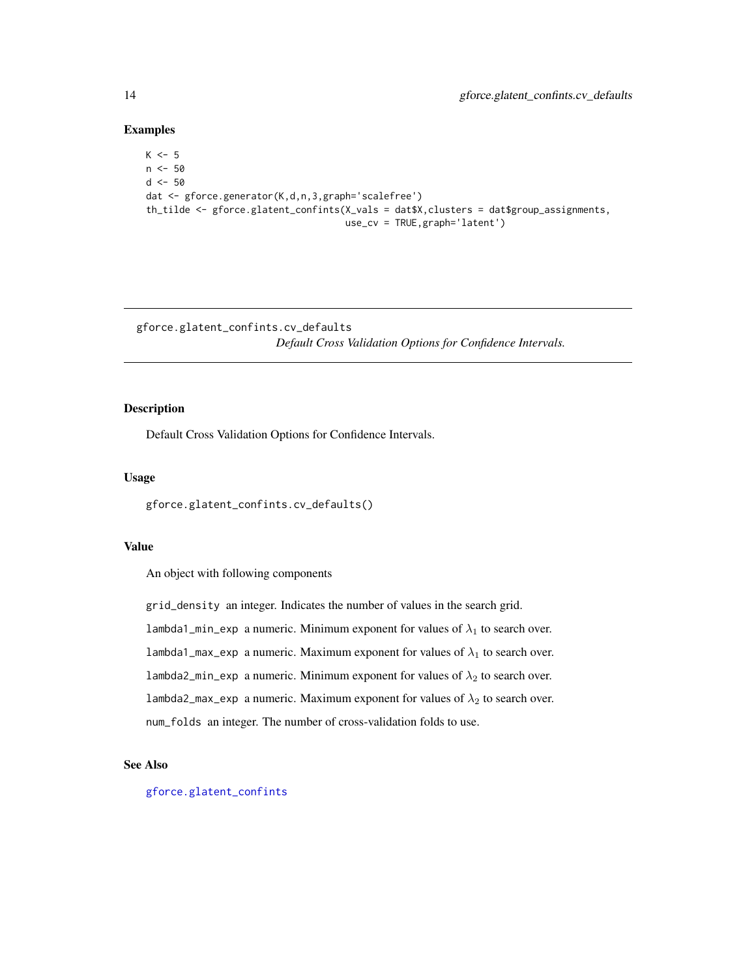#### Examples

```
K < -5n < -50d < -50dat <- gforce.generator(K,d,n,3,graph='scalefree')
th_tilde <- gforce.glatent_confints(X_vals = dat$X,clusters = dat$group_assignments,
                                   use_cv = TRUE,graph='latent')
```
<span id="page-13-1"></span>gforce.glatent\_confints.cv\_defaults *Default Cross Validation Options for Confidence Intervals.*

# Description

Default Cross Validation Options for Confidence Intervals.

#### Usage

```
gforce.glatent_confints.cv_defaults()
```
#### Value

An object with following components

grid\_density an integer. Indicates the number of values in the search grid. lambda1\_min\_exp a numeric. Minimum exponent for values of  $\lambda_1$  to search over. lambda1\_max\_exp a numeric. Maximum exponent for values of  $\lambda_1$  to search over. lambda2\_min\_exp a numeric. Minimum exponent for values of  $\lambda_2$  to search over. lambda2\_max\_exp a numeric. Maximum exponent for values of  $\lambda_2$  to search over. num\_folds an integer. The number of cross-validation folds to use.

#### See Also

[gforce.glatent\\_confints](#page-12-1)

<span id="page-13-0"></span>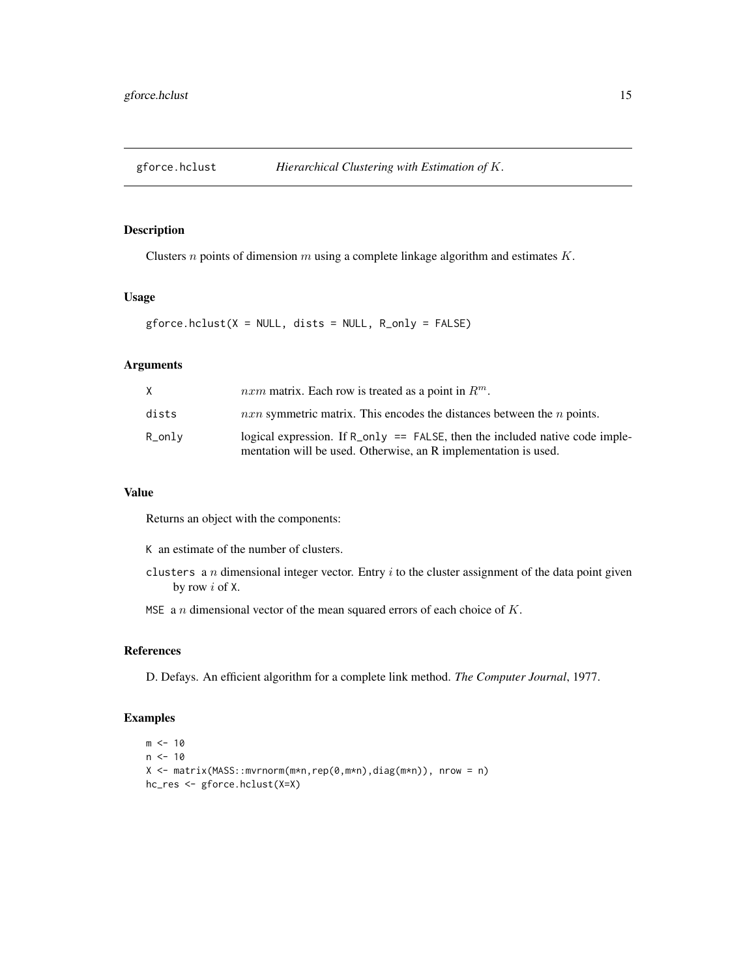<span id="page-14-0"></span>

Clusters  $n$  points of dimension  $m$  using a complete linkage algorithm and estimates  $K$ .

# Usage

 $gforce.hclust(X = NULL, dists = NULL, R_\text{only} = FALSE)$ 

# Arguments

| X         | <i>nxm</i> matrix. Each row is treated as a point in $R^m$ .                                                                                     |
|-----------|--------------------------------------------------------------------------------------------------------------------------------------------------|
| dists     | $n x n$ symmetric matrix. This encodes the distances between the $n$ points.                                                                     |
| $R_$ only | logical expression. If $R_{0} = FALSE$ , then the included native code imple-<br>mentation will be used. Otherwise, an R implementation is used. |

# Value

Returns an object with the components:

K an estimate of the number of clusters.

clusters a n dimensional integer vector. Entry  $i$  to the cluster assignment of the data point given by row i of X.

MSE a  $n$  dimensional vector of the mean squared errors of each choice of  $K$ .

# References

D. Defays. An efficient algorithm for a complete link method. *The Computer Journal*, 1977.

```
m < - 10n < -10X <- matrix(MASS::mvrnorm(m*n,rep(0,m*n),diag(m*n)), nrow = n)
hc_res <- gforce.hclust(X=X)
```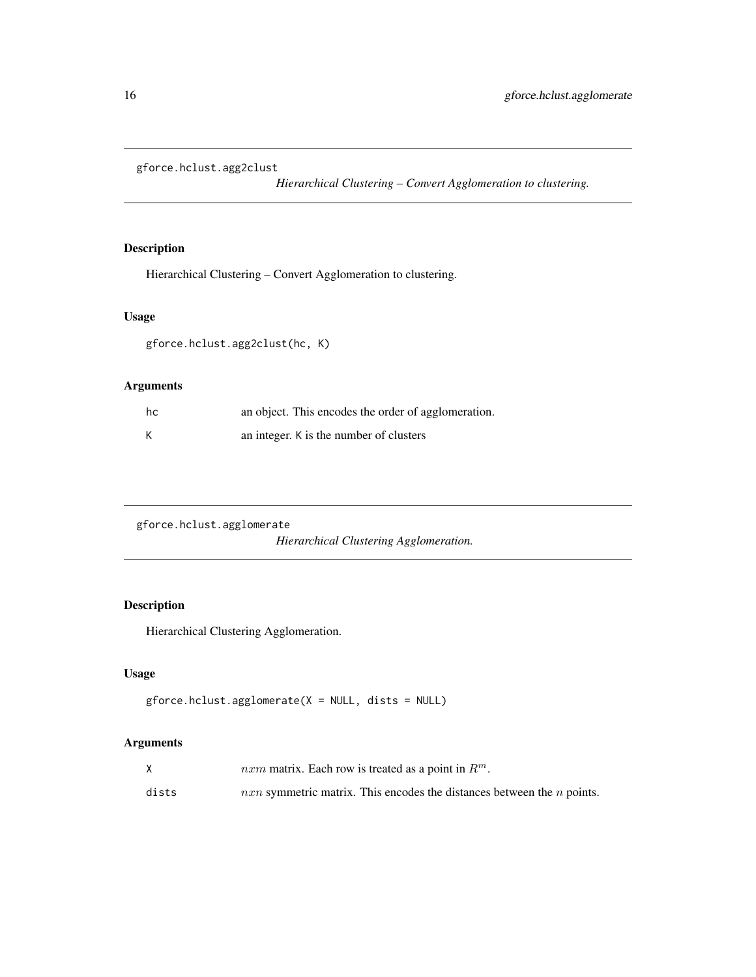<span id="page-15-0"></span>gforce.hclust.agg2clust

*Hierarchical Clustering – Convert Agglomeration to clustering.*

# Description

Hierarchical Clustering – Convert Agglomeration to clustering.

# Usage

gforce.hclust.agg2clust(hc, K)

# Arguments

| hc | an object. This encodes the order of agglomeration. |
|----|-----------------------------------------------------|
|    | an integer. K is the number of clusters             |

gforce.hclust.agglomerate

*Hierarchical Clustering Agglomeration.*

# Description

Hierarchical Clustering Agglomeration.

# Usage

```
gforce.hclust.agglomerate(X = NULL, dists = NULL)
```
# Arguments

|       | <i>nxm</i> matrix. Each row is treated as a point in $R^m$ .                 |
|-------|------------------------------------------------------------------------------|
| dists | $n x n$ symmetric matrix. This encodes the distances between the $n$ points. |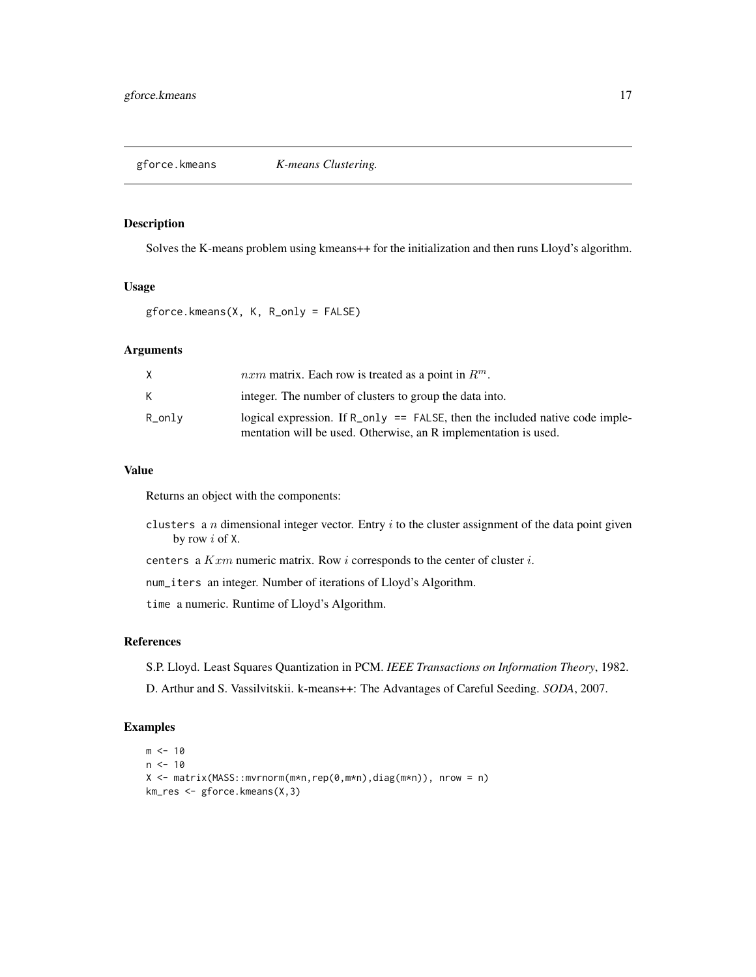<span id="page-16-0"></span>

Solves the K-means problem using kmeans++ for the initialization and then runs Lloyd's algorithm.

#### Usage

```
gforce.kmeans(X, K, R_only = FALSE)
```
# Arguments

| Χ      | <i>nxm</i> matrix. Each row is treated as a point in $R^m$ .                                                                                     |
|--------|--------------------------------------------------------------------------------------------------------------------------------------------------|
| K.     | integer. The number of clusters to group the data into.                                                                                          |
| R_only | logical expression. If $R_{0} = FALSE$ , then the included native code imple-<br>mentation will be used. Otherwise, an R implementation is used. |

# Value

Returns an object with the components:

- clusters a n dimensional integer vector. Entry  $i$  to the cluster assignment of the data point given by row i of X.
- centers a  $Kxm$  numeric matrix. Row i corresponds to the center of cluster i.

num\_iters an integer. Number of iterations of Lloyd's Algorithm.

time a numeric. Runtime of Lloyd's Algorithm.

### References

S.P. Lloyd. Least Squares Quantization in PCM. *IEEE Transactions on Information Theory*, 1982.

D. Arthur and S. Vassilvitskii. k-means++: The Advantages of Careful Seeding. *SODA*, 2007.

```
m < -10n < -10X <- matrix(MASS::mvrnorm(m*n,rep(0,m*n),diag(m*n)), nrow = n)
km_res <- gforce.kmeans(X,3)
```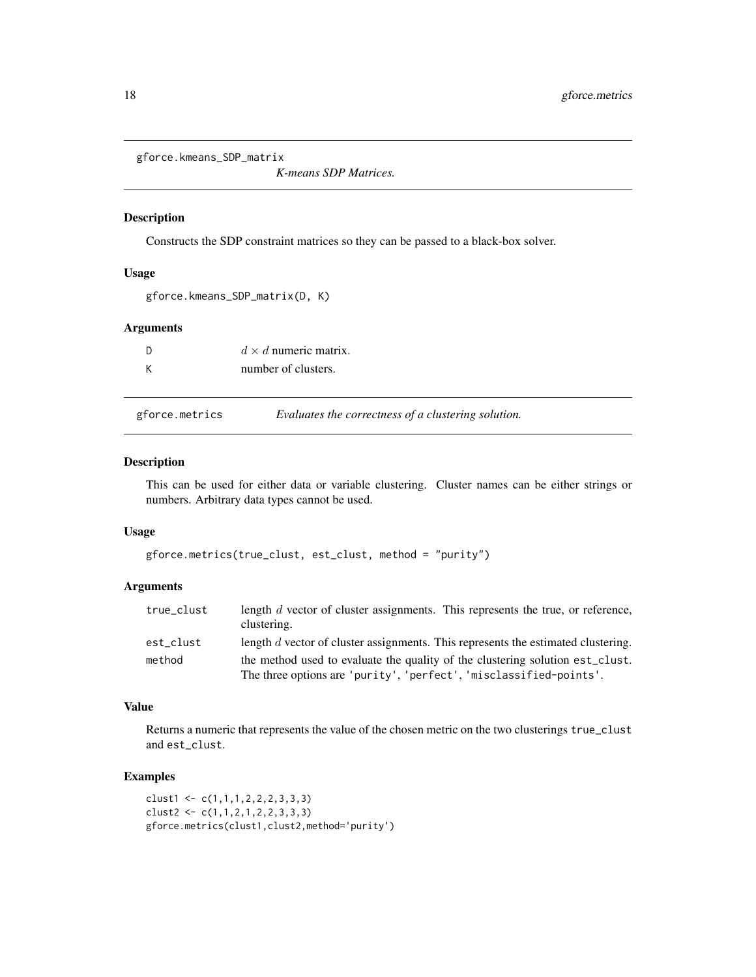<span id="page-17-0"></span>gforce.kmeans\_SDP\_matrix

*K-means SDP Matrices.*

### Description

Constructs the SDP constraint matrices so they can be passed to a black-box solver.

# Usage

```
gforce.kmeans_SDP_matrix(D, K)
```
# Arguments

| - D | $d \times d$ numeric matrix. |
|-----|------------------------------|
| К   | number of clusters.          |

| gforce.metrics | Evaluates the correctness of a clustering solution. |  |  |  |
|----------------|-----------------------------------------------------|--|--|--|
|----------------|-----------------------------------------------------|--|--|--|

# Description

This can be used for either data or variable clustering. Cluster names can be either strings or numbers. Arbitrary data types cannot be used.

#### Usage

```
gforce.metrics(true_clust, est_clust, method = "purity")
```
# Arguments

| true_clust | length $d$ vector of cluster assignments. This represents the true, or reference,<br>clustering. |
|------------|--------------------------------------------------------------------------------------------------|
| est clust  | length d vector of cluster assignments. This represents the estimated clustering.                |
| method     | the method used to evaluate the quality of the clustering solution est_clust.                    |
|            | The three options are 'purity', 'perfect', 'misclassified-points'.                               |

#### Value

Returns a numeric that represents the value of the chosen metric on the two clusterings true\_clust and est\_clust.

```
clust1 <- c(1,1,1,2,2,2,3,3,3)clust2 <- c(1,1,2,1,2,2,3,3,3)
gforce.metrics(clust1,clust2,method='purity')
```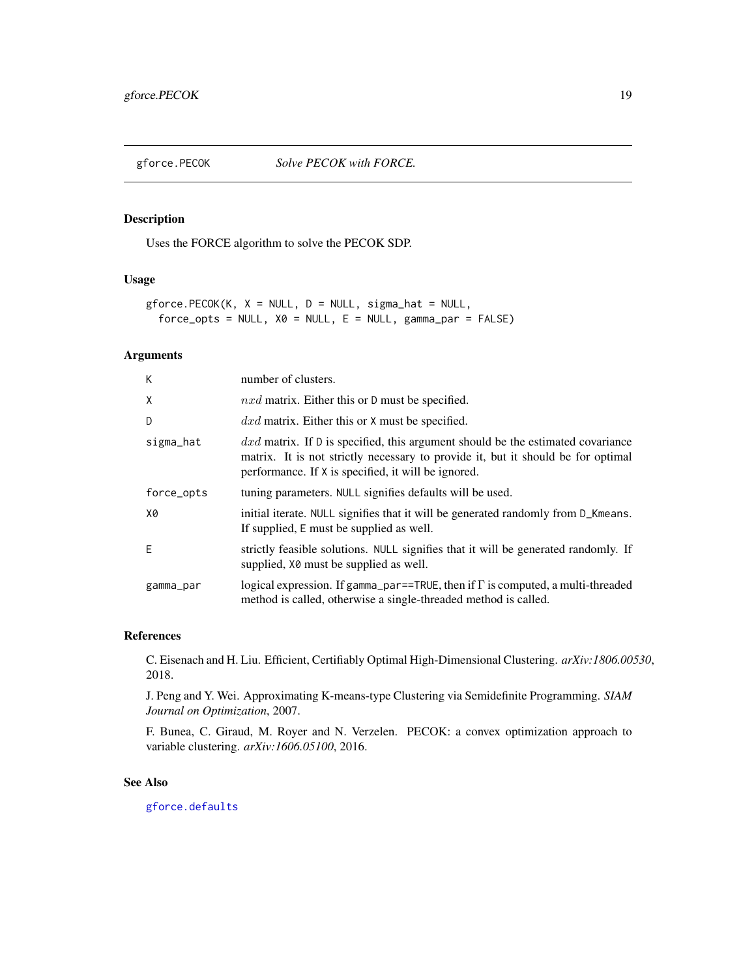<span id="page-18-0"></span>

Uses the FORCE algorithm to solve the PECOK SDP.

#### Usage

```
gforce.PECOK(K, X = NULL, D = NULL, sigma_hat = NULL,
      force\_opts = NULL, X0 = NULL, E = NULL, gamma, gamma, S = -NULL, gamma, S = -NULL, S = -NULL, S = -NULL, S = -NURL, S = -NULL, S = -NURL, S = -NURL, S = -NURL, S = -NURL, S = -NURL, S = -NURL, S = -NURL, S = -NURL, S = -NURL, S = -NURL, S = -NURL, S = -NURL, S = -NURL, S = -NURL,
```
### Arguments

| К          | number of clusters.                                                                                                                                                                                                         |
|------------|-----------------------------------------------------------------------------------------------------------------------------------------------------------------------------------------------------------------------------|
| X          | $nxd$ matrix. Either this or D must be specified.                                                                                                                                                                           |
| D          | $dx$ matrix. Either this or X must be specified.                                                                                                                                                                            |
| sigma_hat  | $dx$ matrix. If D is specified, this argument should be the estimated covariance<br>matrix. It is not strictly necessary to provide it, but it should be for optimal<br>performance. If X is specified, it will be ignored. |
| force_opts | tuning parameters. NULL signifies defaults will be used.                                                                                                                                                                    |
| X0         | initial iterate. NULL signifies that it will be generated randomly from D_Kmeans.<br>If supplied, E must be supplied as well.                                                                                               |
| F          | strictly feasible solutions. NULL signifies that it will be generated randomly. If<br>supplied, $X\theta$ must be supplied as well.                                                                                         |
| gamma_par  | logical expression. If gamma_par==TRUE, then if $\Gamma$ is computed, a multi-threaded<br>method is called, otherwise a single-threaded method is called.                                                                   |

#### References

C. Eisenach and H. Liu. Efficient, Certifiably Optimal High-Dimensional Clustering. *arXiv:1806.00530*, 2018.

J. Peng and Y. Wei. Approximating K-means-type Clustering via Semidefinite Programming. *SIAM Journal on Optimization*, 2007.

F. Bunea, C. Giraud, M. Royer and N. Verzelen. PECOK: a convex optimization approach to variable clustering. *arXiv:1606.05100*, 2016.

### See Also

[gforce.defaults](#page-4-1)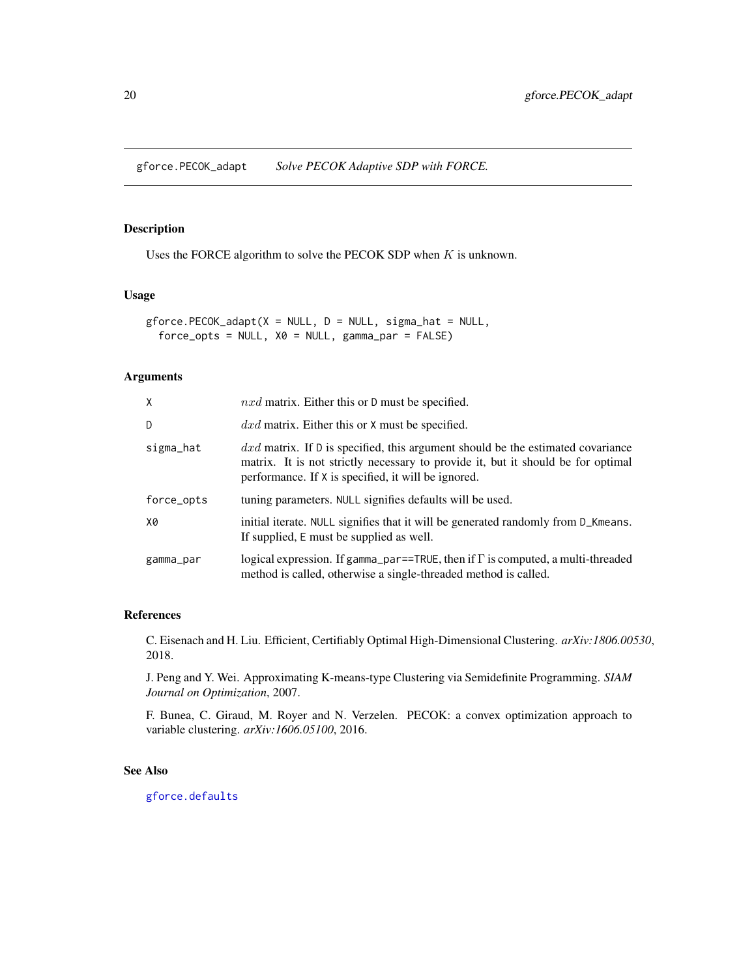<span id="page-19-0"></span>gforce.PECOK\_adapt *Solve PECOK Adaptive SDP with FORCE.*

# Description

Uses the FORCE algorithm to solve the PECOK SDP when  $K$  is unknown.

#### Usage

```
gforce.PECOK_adapt(X = NULL, D = NULL, sigma_hat = NULL,
  force\_opts = NULL, X0 = NULL, gamma_par = FALSE)
```
# Arguments

| X          | $nxd$ matrix. Either this or D must be specified.                                                                                                                                                                            |
|------------|------------------------------------------------------------------------------------------------------------------------------------------------------------------------------------------------------------------------------|
| D          | $dx$ matrix. Either this or X must be specified.                                                                                                                                                                             |
| sigma_hat  | $dxd$ matrix. If D is specified, this argument should be the estimated covariance<br>matrix. It is not strictly necessary to provide it, but it should be for optimal<br>performance. If X is specified, it will be ignored. |
| force_opts | tuning parameters. NULL signifies defaults will be used.                                                                                                                                                                     |
| X0         | initial iterate. NULL signifies that it will be generated randomly from D_Kmeans.<br>If supplied, E must be supplied as well.                                                                                                |
| gamma_par  | logical expression. If gamma_par==TRUE, then if $\Gamma$ is computed, a multi-threaded<br>method is called, otherwise a single-threaded method is called.                                                                    |

#### References

C. Eisenach and H. Liu. Efficient, Certifiably Optimal High-Dimensional Clustering. *arXiv:1806.00530*, 2018.

J. Peng and Y. Wei. Approximating K-means-type Clustering via Semidefinite Programming. *SIAM Journal on Optimization*, 2007.

F. Bunea, C. Giraud, M. Royer and N. Verzelen. PECOK: a convex optimization approach to variable clustering. *arXiv:1606.05100*, 2016.

# See Also

[gforce.defaults](#page-4-1)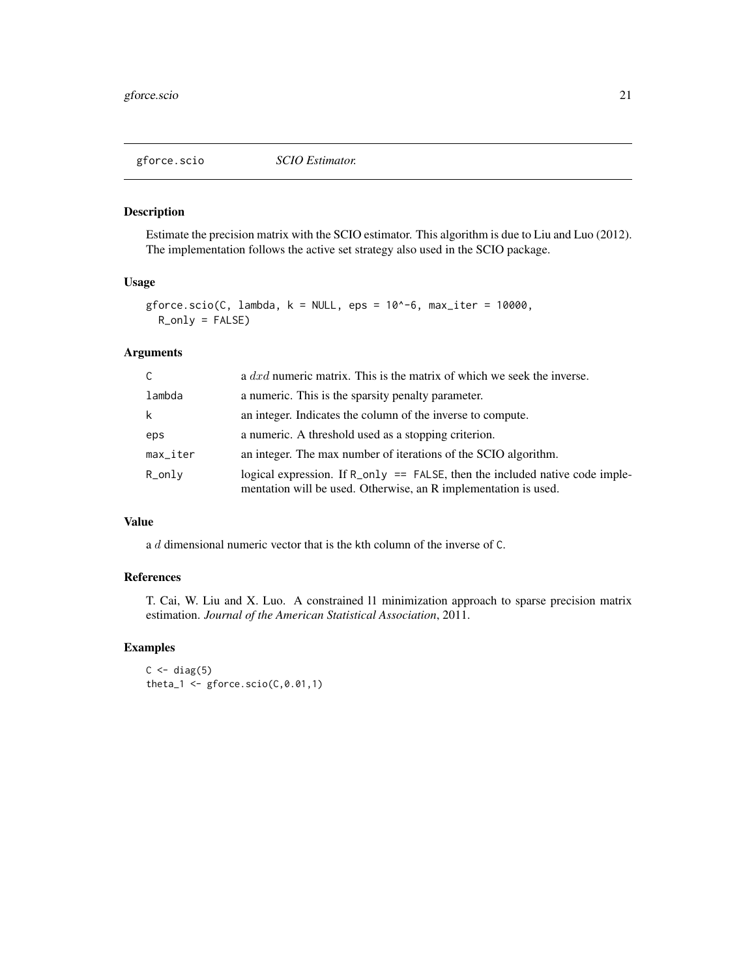<span id="page-20-0"></span>

Estimate the precision matrix with the SCIO estimator. This algorithm is due to Liu and Luo (2012). The implementation follows the active set strategy also used in the SCIO package.

#### Usage

```
gforce.scio(C, lambda, k = NULL, eps = 10^-6, max_iter = 10000,
 R_0nly = FALSE
```
# Arguments

| C        | a $dx$ numeric matrix. This is the matrix of which we seek the inverse.                                                                                    |
|----------|------------------------------------------------------------------------------------------------------------------------------------------------------------|
| lambda   | a numeric. This is the sparsity penalty parameter.                                                                                                         |
| k        | an integer. Indicates the column of the inverse to compute.                                                                                                |
| eps      | a numeric. A threshold used as a stopping criterion.                                                                                                       |
| max_iter | an integer. The max number of iterations of the SCIO algorithm.                                                                                            |
| R_only   | logical expression. If $R_{\text{only}} = FALSE$ , then the included native code imple-<br>mentation will be used. Otherwise, an R implementation is used. |

# Value

a d dimensional numeric vector that is the kth column of the inverse of C.

# References

T. Cai, W. Liu and X. Luo. A constrained l1 minimization approach to sparse precision matrix estimation. *Journal of the American Statistical Association*, 2011.

```
C \leftarrow diag(5)theta1 \leftarrow gforce.scio(C, \emptyset.01,1)
```